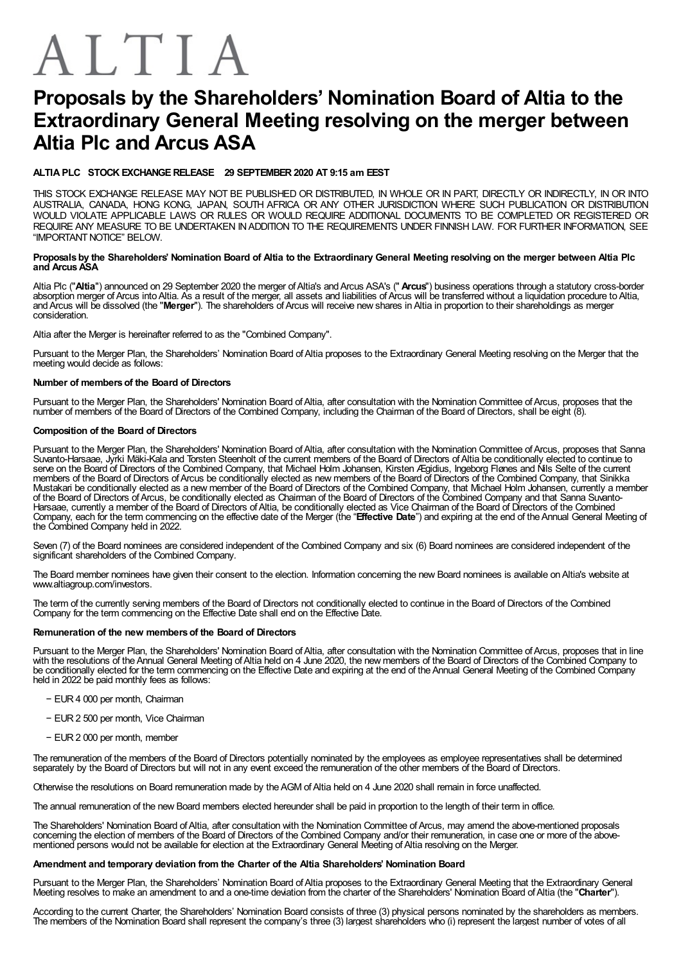# ALTIA

# Proposals by the Shareholders' Nomination Board of Altia to the Extraordinary General Meeting resolving on the merger between Altia Plc and Arcus ASA

# ALTIA PLC STOCK EXCHANGERELEASE 29 SEPTEMBER2020 AT 9:15 am EEST

THIS STOCK EXCHANGE RELEASE MAY NOT BE PUBLISHED OR DISTRIBUTED, IN WHOLE OR IN PART, DIRECTLY OR INDIRECTLY, IN OR INTO AUSTRALIA, CANADA, HONG KONG, JAPAN, SOUTH AFRICA OR ANY OTHER JURISDICTION WHERE SUCH PUBLICATION OR DISTRIBUTION WOULD VIOLATE APPLICABLE LAWS OR RULES OR WOULD REQUIRE ADDITIONAL DOCUMENTS TO BE COMPLETED OR REGISTERED OR REQUIRE ANY MEASURE TO BE UNDERTAKEN INADDITION TO THE REQUIREMENTS UNDER FINNISH LAW. FOR FURTHER INFORMATION, SEE "IMPORTANT NOTICF" BFLOW.

#### Proposals by the Shareholders' Nomination Board of Altia to the Extraordinary General Meeting resolving on the merger between Altia Plc and Arcus ASA

Altia Plc ("**Altia**") announced on 29 September 2020 the merger of Altia's and Arcus ASA's (" **Arcus**") business operations through a statutory cross-border absorption merger of Arcus into Altia. As a result of the merger, all assets and liabilities of Arcus will be transferred without a liquidation procedure to Altia, and Arcus will be dissolved (the "Merger"). The shareholders of Arcus will receive new shares in Altia in proportion to their shareholdings as merger consideration.

Altia after the Merger is hereinafter referred to as the "Combined Company".

Pursuant to the Merger Plan, the Shareholders' Nomination Board of Altia proposes to the Extraordinary General Meeting resolving on the Merger that the meeting would decide as follows:

# Number of members of the Board of Directors

Pursuant to the Merger Plan, the Shareholders' Nomination Board of Altia, after consultation with the Nomination Committee of Arcus, proposes that the number of members of the Board of Directors of the Combined Company, including the Chairman of the Board of Directors, shall be eight (8).

## Composition of the Board of Directors

Pursuant to the Merger Plan, the Shareholders' Nomination Board of Altia, after consultation with the Nomination Committee of Arcus, proposes that Sanna Suvanto-Harsaae, Jyrki Mäki-Kala and Torsten Steenholt of the current members of the Board of Directors ofAltia be conditionally elected to continue to serve on the Board of Directors of the Combined Company, that Michael Holm Johansen, Kirsten Ægidius, Ingeborg Flønes and Nils Selte of the current members of the Board of Directors ofArcus be conditionally elected as new members of the Board of Directors of the Combined Company, that Sinikka Mustakari be conditionally elected as a new member of the Board of Directors of the Combined Company, that Michael Holm Johansen, currently a member of the Board of Directors of Arcus, be conditionally elected as Chairman of the Board of Directors of the Combined Company and that Sanna Suvanto-Harsaae, currently a member of the Board of Directors ofAltia, be conditionally elected as Vice Chairman of the Board of Directors of the Combined Company, each for the term commencing on the effective date of the Merger (the "Effective Date") and expiring at the end of the Annual General Meeting of the Combined Company held in 2022.

Seven (7) of the Board nominees are considered independent of the Combined Company and six (6) Board nominees are considered independent of the significant shareholders of the Combined Company.

The Board member nominees have given their consent to the election. Information concerning the new Board nominees is available onAltia's website at www.altiagroup.com/investors.

The term of the currently serving members of the Board of Directors not conditionally elected to continue in the Board of Directors of the Combined Company for the term commencing on the Effective Date shall end on the Effective Date.

### Remuneration of the new members of the Board of Directors

Pursuant to the Merger Plan, the Shareholders' Nomination Board of Altia, after consultation with the Nomination Committee of Arcus, proposes that in line with the resolutions of theAnnual General Meeting ofAltia held on 4 June 2020, the new members of the Board of Directors of the Combined Company to be conditionally elected for the term commencing on the Effective Date and expiring at the end of the Annual General Meeting of the Combined Company held in 2022 be paid monthly fees as follows:

- − EUR4 000 per month, Chairman
- − EUR2 500 per month, Vice Chairman
- − EUR2 000 per month, member

The remuneration of the members of the Board of Directors potentially nominated by the employees as employee representatives shall be determined separately by the Board of Directors but will not in any event exceed the remuneration of the other members of the Board of Directors.

Otherwise the resolutions on Board remuneration made by the AGM of Altia held on 4 June 2020 shall remain in force unaffected.

The annual remuneration of the new Board members elected hereunder shall be paid in proportion to the length of their term in office.

The Shareholders' Nomination Board of Altia, after consultation with the Nomination Committee of Arcus, may amend the above-mentioned proposals concerning the election of members of the Board of Directors of the Combined Company and/or their remuneration, in case one or more of the above-<br>mentioned persons would not be available for election at the Extraordinary G

#### Amendment and temporary deviation from the Charter of the Altia Shareholders' Nomination Board

Pursuant to the Merger Plan, the Shareholders' Nomination Board of Altia proposes to the Extraordinary General Meeting that the Extraordinary General Meeting resolves to make an amendment to and a one-time deviation from the charter of the Shareholders' Nomination Board of Altia (the "Charter").

According to the current Charter, the Shareholders' Nomination Board consists of three (3) physical persons nominated by the shareholders as members. The members of the Nomination Board shall represent the company's three (3) largest shareholders who (i) represent the largest number of votes of all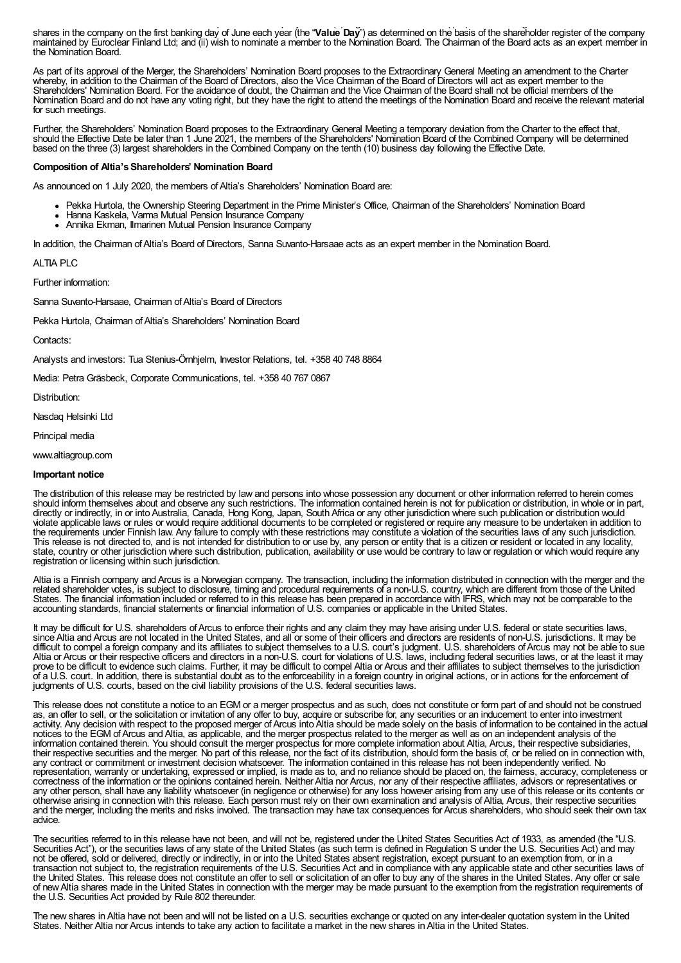The members of the Nomination Board shall represent the company's three (i) represent the largest number of all shares in the company on the first banking day of June each year (the "Value Day") as determined on the basis of the shareholder register of the company maintained by Euroclear Finland Ltd; and (ii) wish to nominate a member to the Nomination Board. The Chairman of the Board acts as an expert member in the Nomination Board.

As part of its approval of the Merger, the Shareholders' Nomination Board proposes to the Extraordinary General Meeting an amendment to the Charter whereby, in addition to the Chairman of the Board of Directors, also the Vice Chairman of the Board of Directors will act as expert member to the Shareholders' Nomination Board. For the avoidance of doubt, the Chairman and the Vice Chairman of the Board shall not be official members of the Nomination Board and do not have any voting right, but they have the right to attend the meetings of the Nomination Board and receive the relevant material for such meetings.

Further, the Shareholders' Nomination Board proposes to the Extraordinary General Meeting a temporary deviation from the Charter to the effect that, should the Effective Date be later than 1 June 2021, the members of the Shareholders' Nomination Board of the Combined Company will be determined based on the three (3) largest shareholders in the Combined Company on the tenth (10) business day following the Effective Date.

#### Composition of Altia's Shareholders' Nomination Board

As announced on 1 July 2020, the members of Altia's Shareholders' Nomination Board are:

- Pekka Hurtola, the Ownership Steering Department in the Prime Minister's Office, Chairman of the Shareholders' Nomination Board
- Hanna Kaskela, Varma Mutual Pension Insurance Company
- Annika Ekman, Ilmarinen Mutual Pension Insurance Company

In addition, the Chairman ofAltia's Board of Directors, Sanna Suvanto-Harsaae acts as an expert member in the Nomination Board.

ALTIA PLC

Further information:

Sanna Suvanto-Harsaae, Chairman of Altia's Board of Directors

Pekka Hurtola, Chairman of Altia's Shareholders' Nomination Board

Contacts:

Analysts and investors: Tua Stenius-Örnhjelm, Investor Relations, tel. +358 40 748 8864

Media: Petra Gräsbeck, Corporate Communications, tel. +358 40 767 0867

Distribution:

Nasdaq Helsinki Ltd

Principal media

www.altiagroup.com

#### Important notice

The distribution of this release may be restricted by law and persons into whose possession any document or other information referred to herein comes should inform themselves about and observe any such restrictions. The information contained herein is not for publication or distribution, in whole or in part, directly or indirectly, in or into Australia, Canada, Hong Kong, Japan, South Africa or any other jurisdiction where such publication or distribution would violate applicable laws or rules or would require additional documents to be completed or registered or require any measure to be undertaken in addition to the requirements under Finnish law. Any failure to comply with these restrictions may constitute a violation of the securities laws of any such jurisdiction. This release is not directed to, and is not intended for distribution to or use by, any person or entity that is a citizen or resident or located in any locality, state, country or other jurisdiction where such distribution, publication, availability or use would be contrary to law or regulation or which would require any registration or licensing within such jurisdiction.

Altia is a Finnish company andArcus is a Norwegian company. The transaction, including the information distributed in connection with the merger and the related shareholder votes, is subject to disclosure, timing and procedural requirements of a non-U.S. country, which are different from those of the United States. The financial information included or referred to in this release has been prepared in accordance with IFRS, which may not be comparable to the accounting standards, financial statements or financial information of U.S. companies or applicable in the United States.

It may be difficult for U.S. shareholders of Arcus to enforce their rights and any claim they may have arising under U.S. federal or state securities laws, since Altia and Arcus are not located in the United States, and all or some of their officers and directors are residents of non-U.S. jurisdictions. It may be difficult to compel a foreign company and its affiliates to subject themselves to a U.S. court's judgment. U.S. shareholders of Arcus may not be able to sue Altia or Arcus or their respective officers and directors in a non-U.S. court for violations of U.S. laws, including federal securities laws, or at the least it may prove to be difficult to evidence such claims. Further, it may be difficult to compel Altia or Arcus and their affiliates to subject themselves to the jurisdiction of a U.S. court. In addition, there is substantial doubt as to the enforceability in a foreign country in original actions, or in actions for the enforcement of judgments of U.S. courts, based on the civil liability provisions of the U.S. federal securities laws.

This release does not constitute a notice to an EGM or a merger prospectus and as such, does not constitute or form part of and should not be construed as, an offer to sell, or the solicitation or invitation of any offer to buy, acquire or subscribe for, any securities or an inducement to enter into investment activity. Any decision with respect to the proposed merger of Arcus into Altia should be made solely on the basis of information to be contained in the actual notices to the EGM of Arcus and Altia, as applicable, and the merger prospectus related to the merger as well as on an independent analysis of the information contained therein. You should consult the merger prospectus for more complete information about Altia, Arcus, their respective subsidiaries, their respective securities and the merger. No part of this release, nor the fact of its distribution, should form the basis of, or be relied on in connection with, any contract or commitment or investment decision whatsoever. The information contained in this release has not been independently verified. No representation, warranty or undertaking, expressed or implied, is made as to, and no reliance should be placed on, the fairness, accuracy, completeness or correctness of the information or the opinions contained herein. Neither Altia nor Arcus, nor any of their respective affiliates, advisors or representatives or any other person, shall have any liability whatsoever (in negligence or otherwise) for any loss however arising from any use of this release or its contents or otherwise arising in connection with this release. Each person must rely on their own examination and analysis ofAltia, Arcus, their respective securities and the merger, including the merits and risks involved. The transaction may have tax consequences for Arcus shareholders, who should seek their own tax advice.

The securities referred to in this release have not been, and will not be, registered under the United States Securities Act of 1933, as amended (the "U.S. Securities Act"), or the securities laws of any state of the United States (as such term is defined in Regulation S under the U.S. Securities Act) and may not be offered, sold or delivered, directly or indirectly, in or into the United States absent registration, except pursuant to an exemption from, or in a transaction not subject to, the registration requirements of the U.S. Securities Act and in compliance with any applicable state and other securities laws of the United States. This release does not constitute an offer to sell or solicitation of an offer to buy any of the shares in the United States. Any offer or sale of newAltia shares made in the United States in connection with the merger may be made pursuant to the exemption from the registration requirements of the U.S. Securities Act provided by Rule 802 thereunder.

The new shares inAltia have not been and will not be listed on a U.S. securities exchange or quoted on any inter-dealer quotation system in the United States. Neither Altia nor Arcus intends to take any action to facilitate a market in the new shares inAltia in the United States.